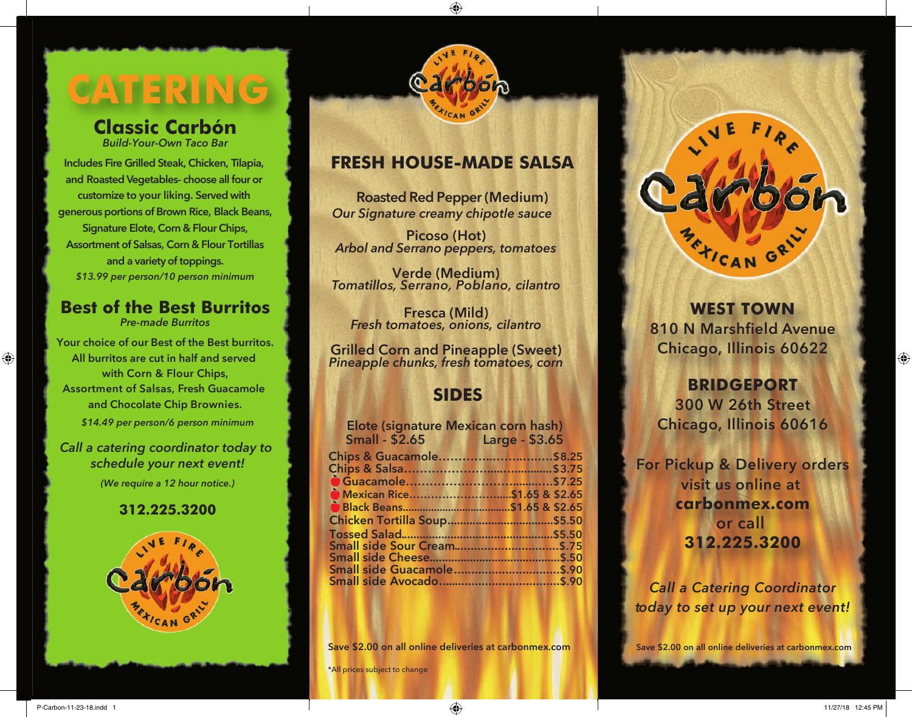# **CATERING**

# **Classic Carbón**

*Build-Your-Own Taco Bar*

 **Includes Fire Grilled Steak, Chicken, Tilapia, and Roasted Vegetables- choose all four or customize to your liking. Served with generous portions of Brown Rice, Black Beans, Signature Elote, Corn & Flour Chips, Assortment of Salsas, Corn & Flour Tortillas and a variety of toppings.** *\$13.99 per person/10 person minimum*

# **Best of the Best Burritos**

*Pre-made Burritos*

**Your choice of our Best of the Best burritos. All burritos are cut in half and served with Corn & Flour Chips, Assortment of Salsas, Fresh Guacamole and Chocolate Chip Brownies.**

*\$14.49 per person/6 person minimum*

### *Call a catering coordinator today to schedule your next event! (We require a 12 hour notice.)*

### **312.225.3200**





# **FRESH HOUSE-MADE SALSA**

 **Roasted Red Pepper (Medium)** *Our Signature creamy chipotle sauce*

**Picoso (Hot)** *Arbol and Serrano peppers, tomatoes*

**Verde (Medium)** *Tomatillos, Serrano, Poblano, cilantro*

**Fresca (Mild)** *Fresh tomatoes, onions, cilantro*

**Grilled Corn and Pineapple (Sweet)** *Pineapple chunks, fresh tomatoes, corn*

# **SIDES**

| Elote (signature Mexican corn hash) |                      |  |
|-------------------------------------|----------------------|--|
| <b>Small - \$2.65</b>               | <b>Example 23.65</b> |  |
| Chips & Guacamole\$8.25             |                      |  |
|                                     |                      |  |
|                                     |                      |  |
|                                     |                      |  |
|                                     |                      |  |
|                                     |                      |  |
|                                     |                      |  |
|                                     |                      |  |
|                                     |                      |  |
|                                     |                      |  |
|                                     |                      |  |

**Save \$2.00 on all online deliveries at carbonmex.com**

\*All prices subject to change



**WEST TOWN 810 N Marshfield Avenue Chicago, Illinois 60622**

# **BRIDGEPORT**

**300 W 26th Street Chicago, Illinois 60616**

**For Pickup & Delivery orders visit us online at carbonmex.com or call 312.225.3200**

*Call a Catering Coordinator today to set up your next event!*

**Save \$2.00 on all online deliveries at carbonmex.com**

 $\bigoplus$ 

 $\textcolor{black}{\bigcirc \!\!\! \! \! \! \Phi}$